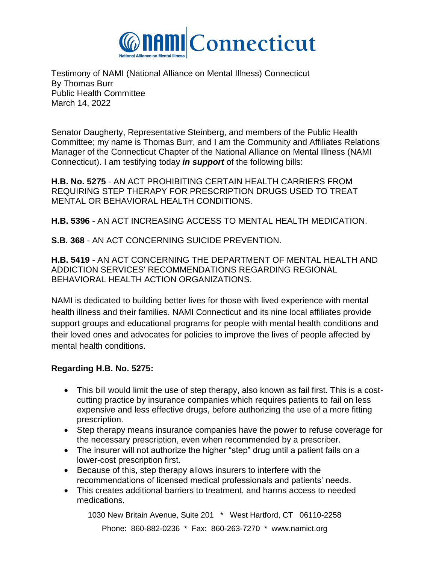

Testimony of NAMI (National Alliance on Mental Illness) Connecticut By Thomas Burr Public Health Committee March 14, 2022

Senator Daugherty, Representative Steinberg, and members of the Public Health Committee; my name is Thomas Burr, and I am the Community and Affiliates Relations Manager of the Connecticut Chapter of the National Alliance on Mental Illness (NAMI Connecticut). I am testifying today *in support* of the following bills:

**H.B. No. 5275** - AN ACT PROHIBITING CERTAIN HEALTH CARRIERS FROM REQUIRING STEP THERAPY FOR PRESCRIPTION DRUGS USED TO TREAT MENTAL OR BEHAVIORAL HEALTH CONDITIONS.

**H.B. 5396** - AN ACT INCREASING ACCESS TO MENTAL HEALTH MEDICATION.

**S.B. 368** - AN ACT CONCERNING SUICIDE PREVENTION.

**H.B. 5419** - AN ACT CONCERNING THE DEPARTMENT OF MENTAL HEALTH AND ADDICTION SERVICES' RECOMMENDATIONS REGARDING REGIONAL BEHAVIORAL HEALTH ACTION ORGANIZATIONS.

NAMI is dedicated to building better lives for those with lived experience with mental health illness and their families. NAMI Connecticut and its nine local affiliates provide support groups and educational programs for people with mental health conditions and their loved ones and advocates for policies to improve the lives of people affected by mental health conditions.

## **Regarding H.B. No. 5275:**

- This bill would limit the use of step therapy, also known as fail first. This is a costcutting practice by insurance companies which requires patients to fail on less expensive and less effective drugs, before authorizing the use of a more fitting prescription.
- Step therapy means insurance companies have the power to refuse coverage for the necessary prescription, even when recommended by a prescriber.
- The insurer will not authorize the higher "step" drug until a patient fails on a lower-cost prescription first.
- Because of this, step therapy allows insurers to interfere with the recommendations of licensed medical professionals and patients' needs.
- This creates additional barriers to treatment, and harms access to needed medications.

1030 New Britain Avenue, Suite 201 \* West Hartford, CT 06110-2258 Phone: 860-882-0236 \* Fax: 860-263-7270 \* www.namict.org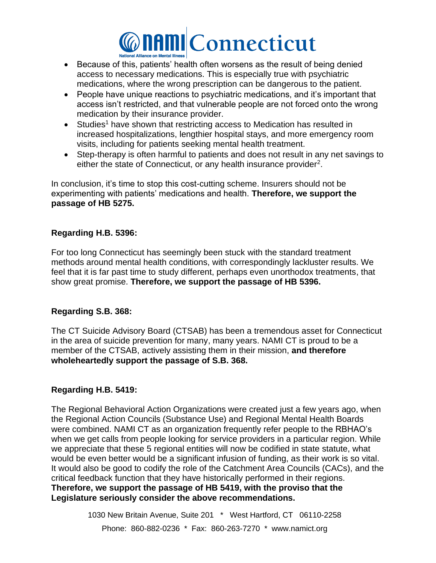

- Because of this, patients' health often worsens as the result of being denied access to necessary medications. This is especially true with psychiatric medications, where the wrong prescription can be dangerous to the patient.
- People have unique reactions to psychiatric medications, and it's important that access isn't restricted, and that vulnerable people are not forced onto the wrong medication by their insurance provider.
- Studies<sup>1</sup> have shown that restricting access to Medication has resulted in increased hospitalizations, lengthier hospital stays, and more emergency room visits, including for patients seeking mental health treatment.
- Step-therapy is often harmful to patients and does not result in any net savings to either the state of Connecticut, or any health insurance provider<sup>2</sup>.

In conclusion, it's time to stop this cost-cutting scheme. Insurers should not be experimenting with patients' medications and health. **Therefore, we support the passage of HB 5275.**

## **Regarding H.B. 5396:**

For too long Connecticut has seemingly been stuck with the standard treatment methods around mental health conditions, with correspondingly lackluster results. We feel that it is far past time to study different, perhaps even unorthodox treatments, that show great promise. **Therefore, we support the passage of HB 5396.**

## **Regarding S.B. 368:**

The CT Suicide Advisory Board (CTSAB) has been a tremendous asset for Connecticut in the area of suicide prevention for many, many years. NAMI CT is proud to be a member of the CTSAB, actively assisting them in their mission, **and therefore wholeheartedly support the passage of S.B. 368.**

## **Regarding H.B. 5419:**

The Regional Behavioral Action Organizations were created just a few years ago, when the Regional Action Councils (Substance Use) and Regional Mental Health Boards were combined. NAMI CT as an organization frequently refer people to the RBHAO's when we get calls from people looking for service providers in a particular region. While we appreciate that these 5 regional entities will now be codified in state statute, what would be even better would be a significant infusion of funding, as their work is so vital. It would also be good to codify the role of the Catchment Area Councils (CACs), and the critical feedback function that they have historically performed in their regions. **Therefore, we support the passage of HB 5419, with the proviso that the Legislature seriously consider the above recommendations.**

> 1030 New Britain Avenue, Suite 201 \* West Hartford, CT 06110-2258 Phone: 860-882-0236 \* Fax: 860-263-7270 \* www.namict.org